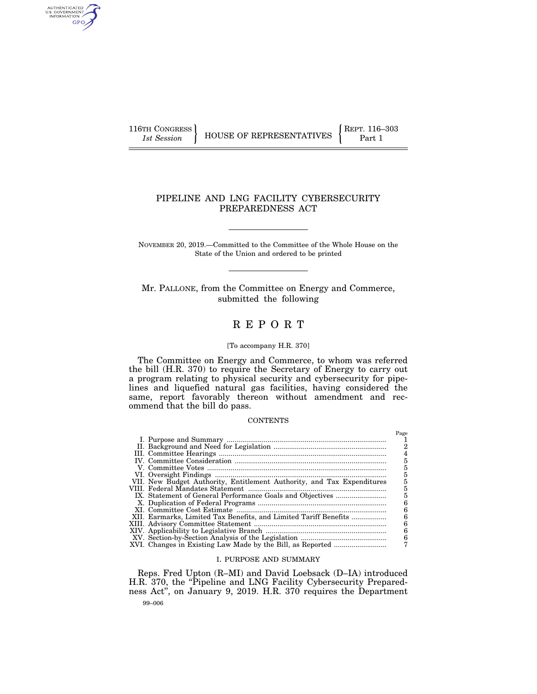AUTHENTICATED<br>U.S. GOVERNMENT<br>INFORMATION GPO

116TH CONGRESS **REPRESENTATIVES** REPRESENTATIVES **Part 1** 

# PIPELINE AND LNG FACILITY CYBERSECURITY PREPAREDNESS ACT

NOVEMBER 20, 2019.—Committed to the Committee of the Whole House on the State of the Union and ordered to be printed

Mr. PALLONE, from the Committee on Energy and Commerce, submitted the following

# R E P O R T

# [To accompany H.R. 370]

The Committee on Energy and Commerce, to whom was referred the bill (H.R. 370) to require the Secretary of Energy to carry out a program relating to physical security and cybersecurity for pipelines and liquefied natural gas facilities, having considered the same, report favorably thereon without amendment and recommend that the bill do pass.

# **CONTENTS**

|                                                                        | Page |
|------------------------------------------------------------------------|------|
|                                                                        |      |
|                                                                        | 2    |
|                                                                        |      |
|                                                                        | 5    |
|                                                                        | 5    |
|                                                                        | 5    |
| VII. New Budget Authority, Entitlement Authority, and Tax Expenditures |      |
|                                                                        | 5    |
|                                                                        | 5    |
|                                                                        | 6    |
|                                                                        | 6    |
| XII. Earmarks, Limited Tax Benefits, and Limited Tariff Benefits       | 6    |
|                                                                        | 6    |
|                                                                        | 6    |
|                                                                        | 6    |
|                                                                        | 7    |
|                                                                        |      |

## I. PURPOSE AND SUMMARY

99–006 Reps. Fred Upton (R–MI) and David Loebsack (D–IA) introduced H.R. 370, the "Pipeline and LNG Facility Cybersecurity Preparedness Act'', on January 9, 2019. H.R. 370 requires the Department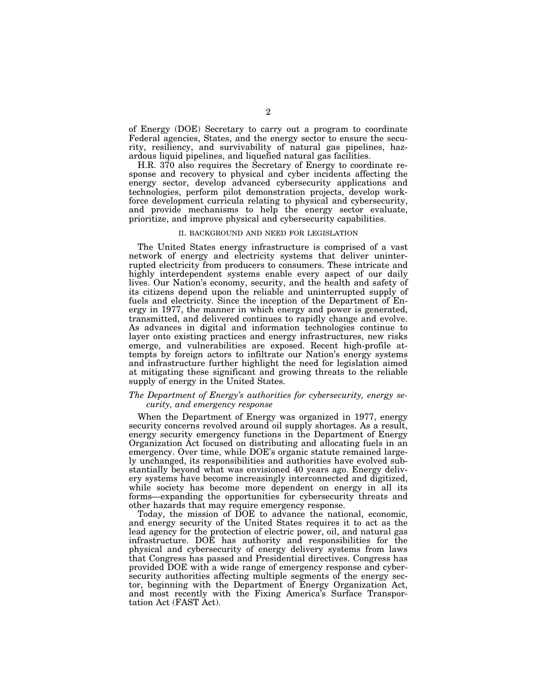of Energy (DOE) Secretary to carry out a program to coordinate Federal agencies, States, and the energy sector to ensure the security, resiliency, and survivability of natural gas pipelines, hazardous liquid pipelines, and liquefied natural gas facilities.

H.R. 370 also requires the Secretary of Energy to coordinate response and recovery to physical and cyber incidents affecting the energy sector, develop advanced cybersecurity applications and technologies, perform pilot demonstration projects, develop workforce development curricula relating to physical and cybersecurity, and provide mechanisms to help the energy sector evaluate, prioritize, and improve physical and cybersecurity capabilities.

#### II. BACKGROUND AND NEED FOR LEGISLATION

The United States energy infrastructure is comprised of a vast network of energy and electricity systems that deliver uninterrupted electricity from producers to consumers. These intricate and highly interdependent systems enable every aspect of our daily lives. Our Nation's economy, security, and the health and safety of its citizens depend upon the reliable and uninterrupted supply of fuels and electricity. Since the inception of the Department of Energy in 1977, the manner in which energy and power is generated, transmitted, and delivered continues to rapidly change and evolve. As advances in digital and information technologies continue to layer onto existing practices and energy infrastructures, new risks emerge, and vulnerabilities are exposed. Recent high-profile attempts by foreign actors to infiltrate our Nation's energy systems and infrastructure further highlight the need for legislation aimed at mitigating these significant and growing threats to the reliable supply of energy in the United States.

# *The Department of Energy's authorities for cybersecurity, energy security, and emergency response*

When the Department of Energy was organized in 1977, energy security concerns revolved around oil supply shortages. As a result, energy security emergency functions in the Department of Energy Organization Act focused on distributing and allocating fuels in an emergency. Over time, while DOE's organic statute remained largely unchanged, its responsibilities and authorities have evolved substantially beyond what was envisioned 40 years ago. Energy delivery systems have become increasingly interconnected and digitized, while society has become more dependent on energy in all its forms—expanding the opportunities for cybersecurity threats and other hazards that may require emergency response.

Today, the mission of DOE to advance the national, economic, and energy security of the United States requires it to act as the lead agency for the protection of electric power, oil, and natural gas infrastructure. DOE has authority and responsibilities for the physical and cybersecurity of energy delivery systems from laws that Congress has passed and Presidential directives. Congress has provided DOE with a wide range of emergency response and cybersecurity authorities affecting multiple segments of the energy sector, beginning with the Department of Energy Organization Act, and most recently with the Fixing America's Surface Transportation Act (FAST Act).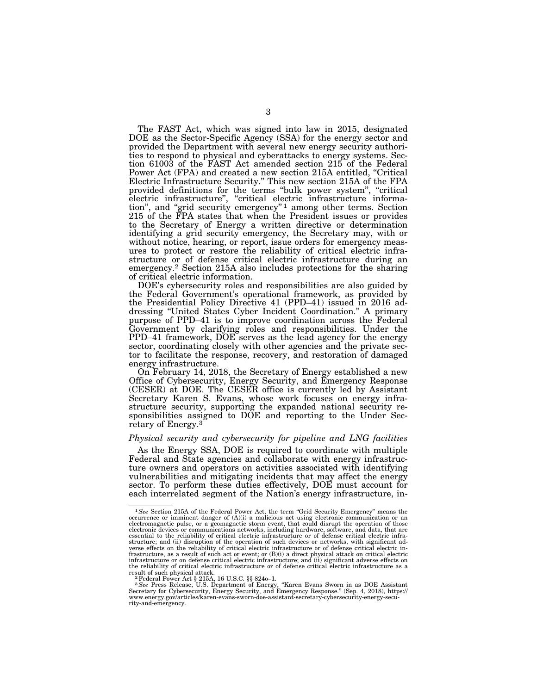The FAST Act, which was signed into law in 2015, designated DOE as the Sector-Specific Agency (SSA) for the energy sector and provided the Department with several new energy security authorities to respond to physical and cyberattacks to energy systems. Section 61003 of the FAST Act amended section 215 of the Federal Power Act (FPA) and created a new section 215A entitled, "Critical Electric Infrastructure Security.'' This new section 215A of the FPA provided definitions for the terms ''bulk power system'', ''critical electric infrastructure'', ''critical electric infrastructure information", and "grid security emergency"<sup>1</sup> among other terms. Section 215 of the FPA states that when the President issues or provides to the Secretary of Energy a written directive or determination identifying a grid security emergency, the Secretary may, with or without notice, hearing, or report, issue orders for emergency measures to protect or restore the reliability of critical electric infrastructure or of defense critical electric infrastructure during an emergency.2 Section 215A also includes protections for the sharing of critical electric information.

DOE's cybersecurity roles and responsibilities are also guided by the Federal Government's operational framework, as provided by the Presidential Policy Directive 41 (PPD–41) issued in 2016 addressing ''United States Cyber Incident Coordination.'' A primary purpose of PPD–41 is to improve coordination across the Federal Government by clarifying roles and responsibilities. Under the PPD–41 framework, DOE serves as the lead agency for the energy sector, coordinating closely with other agencies and the private sector to facilitate the response, recovery, and restoration of damaged energy infrastructure.

On February 14, 2018, the Secretary of Energy established a new Office of Cybersecurity, Energy Security, and Emergency Response (CESER) at DOE. The CESER office is currently led by Assistant Secretary Karen S. Evans, whose work focuses on energy infrastructure security, supporting the expanded national security responsibilities assigned to DOE and reporting to the Under Secretary of Energy.3

# *Physical security and cybersecurity for pipeline and LNG facilities*

As the Energy SSA, DOE is required to coordinate with multiple Federal and State agencies and collaborate with energy infrastructure owners and operators on activities associated with identifying vulnerabilities and mitigating incidents that may affect the energy sector. To perform these duties effectively, DOE must account for each interrelated segment of the Nation's energy infrastructure, in-

<sup>&</sup>lt;sup>1</sup>See Section 215A of the Federal Power Act, the term "Grid Security Emergency" means the occurrence or imminent danger of (A)(i) a malicious act using electronic communication or an<br>electromagnetic pulse, or a geomagnetic storm event, that could disrupt the operation of those<br>electronic devices or communicatio essential to the reliability of critical electric infrastructure or of defense critical electric infrastructure; and (ii) disruption of the operation of such devices or networks, with significant ad-verse effects on the reliability of critical electric infrastructure or of defense critical electric infrastructure, as a result of such act or event; or (B)(i) a direct physical attack on critical electric infrastructure or on defense critical electric infrastructure; and (ii) significant adverse effects on the reliability of critical electric infrastructure or of defense critical electric infrastructure as a result of such a proposed attack.

result of such physical attack.<br><sup>2</sup> Pederal Power Act § 215A, 16 U.S.C. §§ 824o–1.<br><sup>3</sup> *See* Press Release, U.S. Department of Energy, "Karen Evans Sworn in as DOE Assistant Secretary for Cybersecurity, Energy Security, and Emergency Response.'' (Sep. 4, 2018), https:// www.energy.gov/articles/karen-evans-sworn-doe-assistant-secretary-cybersecurity-energy-security-and-emergency.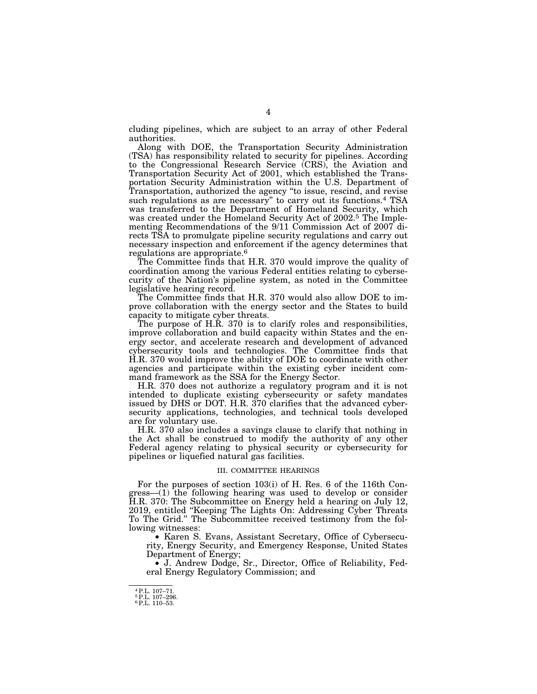cluding pipelines, which are subject to an array of other Federal authorities.

Along with DOE, the Transportation Security Administration (TSA) has responsibility related to security for pipelines. According to the Congressional Research Service (CRS), the Aviation and Transportation Security Act of 2001, which established the Transportation Security Administration within the U.S. Department of Transportation, authorized the agency ''to issue, rescind, and revise such regulations as are necessary'' to carry out its functions.4 TSA was transferred to the Department of Homeland Security, which was created under the Homeland Security Act of 2002.5 The Implementing Recommendations of the 9/11 Commission Act of 2007 directs TSA to promulgate pipeline security regulations and carry out necessary inspection and enforcement if the agency determines that regulations are appropriate.6

The Committee finds that H.R. 370 would improve the quality of coordination among the various Federal entities relating to cybersecurity of the Nation's pipeline system, as noted in the Committee legislative hearing record.

The Committee finds that H.R. 370 would also allow DOE to improve collaboration with the energy sector and the States to build capacity to mitigate cyber threats.

The purpose of H.R. 370 is to clarify roles and responsibilities, improve collaboration and build capacity within States and the energy sector, and accelerate research and development of advanced cybersecurity tools and technologies. The Committee finds that H.R. 370 would improve the ability of DOE to coordinate with other agencies and participate within the existing cyber incident command framework as the SSA for the Energy Sector.

H.R. 370 does not authorize a regulatory program and it is not intended to duplicate existing cybersecurity or safety mandates issued by DHS or DOT. H.R. 370 clarifies that the advanced cybersecurity applications, technologies, and technical tools developed are for voluntary use.

H.R. 370 also includes a savings clause to clarify that nothing in the Act shall be construed to modify the authority of any other Federal agency relating to physical security or cybersecurity for pipelines or liquefied natural gas facilities.

#### III. COMMITTEE HEARINGS

For the purposes of section 103(i) of H. Res. 6 of the 116th Congress—(1) the following hearing was used to develop or consider H.R. 370: The Subcommittee on Energy held a hearing on July 12, 2019, entitled ''Keeping The Lights On: Addressing Cyber Threats To The Grid.'' The Subcommittee received testimony from the following witnesses:

• Karen S. Evans, Assistant Secretary, Office of Cybersecurity, Energy Security, and Emergency Response, United States Department of Energy;

• J. Andrew Dodge, Sr., Director, Office of Reliability, Federal Energy Regulatory Commission; and

<sup>4</sup>P.L. 107–71. 5P.L. 107–296. 6P.L. 110–53.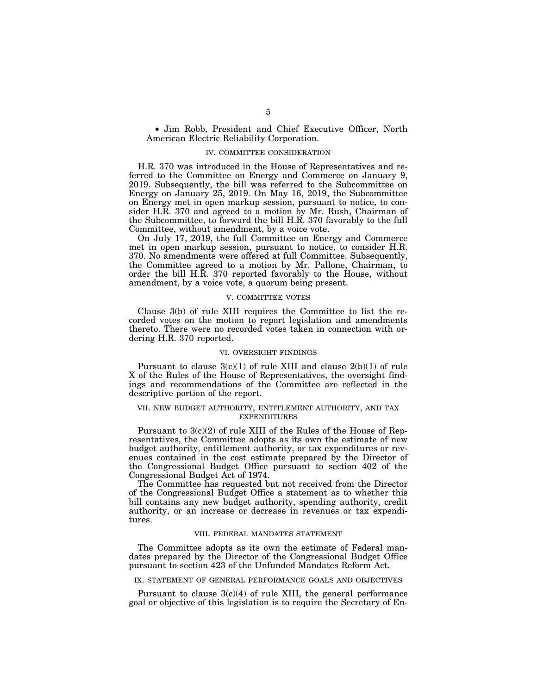• Jim Robb, President and Chief Executive Officer, North American Electric Reliability Corporation.

## IV. COMMITTEE CONSIDERATION

H.R. 370 was introduced in the House of Representatives and referred to the Committee on Energy and Commerce on January 9, 2019. Subsequently, the bill was referred to the Subcommittee on Energy on January 25, 2019. On May 16, 2019, the Subcommittee on Energy met in open markup session, pursuant to notice, to consider H.R. 370 and agreed to a motion by Mr. Rush, Chairman of the Subcommittee, to forward the bill H.R. 370 favorably to the full Committee, without amendment, by a voice vote.

On July 17, 2019, the full Committee on Energy and Commerce met in open markup session, pursuant to notice, to consider H.R. 370. No amendments were offered at full Committee. Subsequently, the Committee agreed to a motion by Mr. Pallone, Chairman, to order the bill H.R. 370 reported favorably to the House, without amendment, by a voice vote, a quorum being present.

## V. COMMITTEE VOTES

Clause 3(b) of rule XIII requires the Committee to list the recorded votes on the motion to report legislation and amendments thereto. There were no recorded votes taken in connection with ordering H.R. 370 reported.

#### VI. OVERSIGHT FINDINGS

Pursuant to clause  $3(c)(1)$  of rule XIII and clause  $2(b)(1)$  of rule X of the Rules of the House of Representatives, the oversight findings and recommendations of the Committee are reflected in the descriptive portion of the report.

# VII. NEW BUDGET AUTHORITY, ENTITLEMENT AUTHORITY, AND TAX EXPENDITURES

Pursuant to 3(c)(2) of rule XIII of the Rules of the House of Representatives, the Committee adopts as its own the estimate of new budget authority, entitlement authority, or tax expenditures or revenues contained in the cost estimate prepared by the Director of the Congressional Budget Office pursuant to section 402 of the Congressional Budget Act of 1974.

The Committee has requested but not received from the Director of the Congressional Budget Office a statement as to whether this bill contains any new budget authority, spending authority, credit authority, or an increase or decrease in revenues or tax expenditures.

## VIII. FEDERAL MANDATES STATEMENT

The Committee adopts as its own the estimate of Federal mandates prepared by the Director of the Congressional Budget Office pursuant to section 423 of the Unfunded Mandates Reform Act.

## IX. STATEMENT OF GENERAL PERFORMANCE GOALS AND OBJECTIVES

Pursuant to clause  $3(c)(4)$  of rule XIII, the general performance goal or objective of this legislation is to require the Secretary of En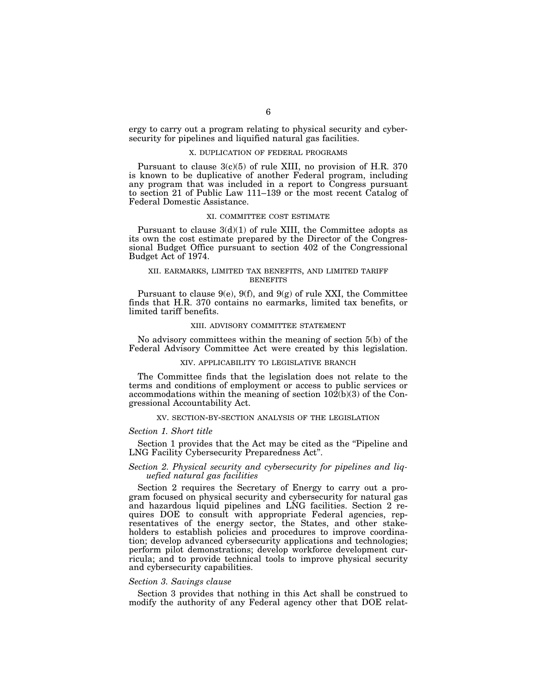ergy to carry out a program relating to physical security and cybersecurity for pipelines and liquified natural gas facilities.

#### X. DUPLICATION OF FEDERAL PROGRAMS

Pursuant to clause 3(c)(5) of rule XIII, no provision of H.R. 370 is known to be duplicative of another Federal program, including any program that was included in a report to Congress pursuant to section 21 of Public Law 111–139 or the most recent Catalog of Federal Domestic Assistance.

#### XI. COMMITTEE COST ESTIMATE

Pursuant to clause  $3(d)(1)$  of rule XIII, the Committee adopts as its own the cost estimate prepared by the Director of the Congressional Budget Office pursuant to section 402 of the Congressional Budget Act of 1974.

# XII. EARMARKS, LIMITED TAX BENEFITS, AND LIMITED TARIFF **BENEFITS**

Pursuant to clause  $9(e)$ ,  $9(f)$ , and  $9(g)$  of rule XXI, the Committee finds that H.R. 370 contains no earmarks, limited tax benefits, or limited tariff benefits.

#### XIII. ADVISORY COMMITTEE STATEMENT

No advisory committees within the meaning of section 5(b) of the Federal Advisory Committee Act were created by this legislation.

#### XIV. APPLICABILITY TO LEGISLATIVE BRANCH

The Committee finds that the legislation does not relate to the terms and conditions of employment or access to public services or accommodations within the meaning of section 102(b)(3) of the Congressional Accountability Act.

## XV. SECTION-BY-SECTION ANALYSIS OF THE LEGISLATION

#### *Section 1. Short title*

Section 1 provides that the Act may be cited as the "Pipeline and LNG Facility Cybersecurity Preparedness Act''.

# *Section 2. Physical security and cybersecurity for pipelines and liquefied natural gas facilities*

Section 2 requires the Secretary of Energy to carry out a program focused on physical security and cybersecurity for natural gas and hazardous liquid pipelines and LNG facilities. Section 2 requires DOE to consult with appropriate Federal agencies, representatives of the energy sector, the States, and other stakeholders to establish policies and procedures to improve coordination; develop advanced cybersecurity applications and technologies; perform pilot demonstrations; develop workforce development curricula; and to provide technical tools to improve physical security and cybersecurity capabilities.

## *Section 3. Savings clause*

Section 3 provides that nothing in this Act shall be construed to modify the authority of any Federal agency other that DOE relat